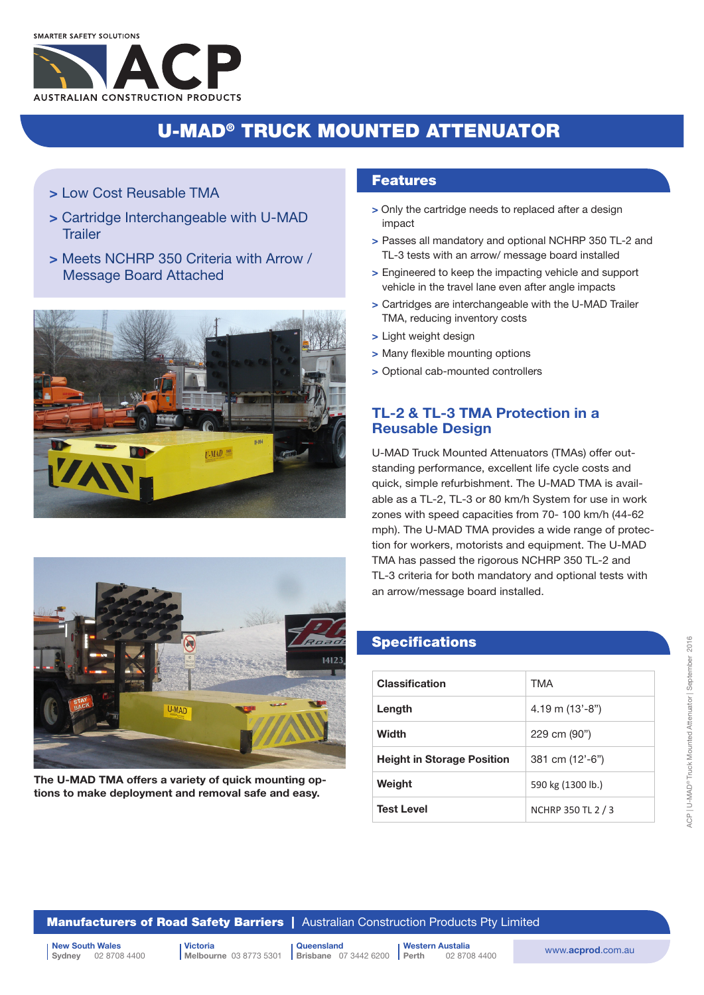

## U-MAD® TRUCK MOUNTED ATTENUATOR

- > Low Cost Reusable TMA
- > Cartridge Interchangeable with U-MAD **Trailer**
- > Meets NCHRP 350 Criteria with Arrow / Message Board Attached





The U-MAD TMA offers a variety of quick mounting options to make deployment and removal safe and easy.

### Features

- > Only the cartridge needs to replaced after a design impact
- > Passes all mandatory and optional NCHRP 350 TL-2 and TL-3 tests with an arrow/ message board installed
- > Engineered to keep the impacting vehicle and support vehicle in the travel lane even after angle impacts
- > Cartridges are interchangeable with the U-MAD Trailer TMA, reducing inventory costs
- > Light weight design
- > Many flexible mounting options
- > Optional cab-mounted controllers

## TL-2 & TL-3 TMA Protection in a Reusable Design

U-MAD Truck Mounted Attenuators (TMAs) offer outstanding performance, excellent life cycle costs and quick, simple refurbishment. The U-MAD TMA is available as a TL-2, TL-3 or 80 km/h System for use in work zones with speed capacities from 70- 100 km/h (44-62 mph). The U-MAD TMA provides a wide range of protection for workers, motorists and equipment. The U-MAD TMA has passed the rigorous NCHRP 350 TL-2 and TL-3 criteria for both mandatory and optional tests with an arrow/message board installed.

## **Specifications**

| <b>Classification</b>             | TMA                        |
|-----------------------------------|----------------------------|
| Length                            | $4.19 \text{ m} (13'-8'')$ |
| Width                             | 229 cm (90")               |
| <b>Height in Storage Position</b> | 381 cm (12'-6")            |
| Weight                            | 590 kg (1300 lb.)          |
| <b>Test Level</b>                 | NCHRP 350 TL 2 / 3         |

**Manufacturers of Road Safety Barriers** | Australian Construction Products Pty Limited

**Brisbane** 07 3442 6200

| New South Wales | Victoria | Victoria | Queensland | Western Austalia | Western Austalia | Western Austalia | Western Austalia | Western Austalia | Western Austalia | Western Austalia | Western Austalia | Western Austali 02 8708 4400

Victoria Melbourne 03 8773 5301 **Queensland** Western Austalia

02 8708 4400